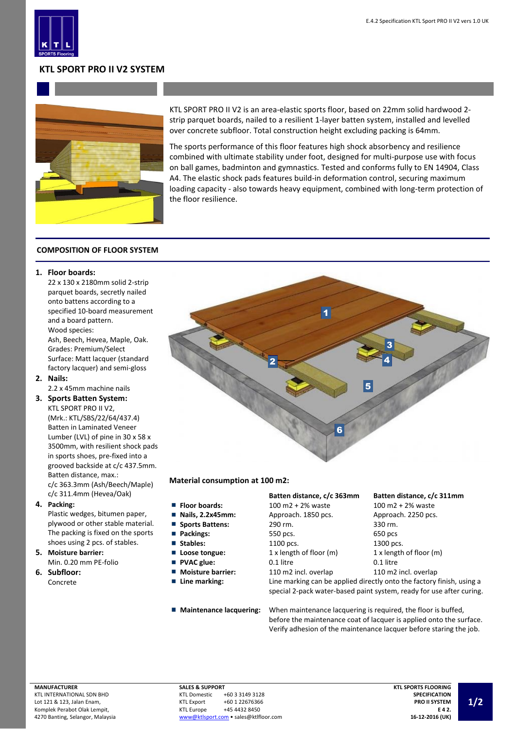

# **KTL SPORT PRO II V2 SYSTEM**



KTL SPORT PRO II V2 is an area-elastic sports floor, based on 22mm solid hardwood 2 strip parquet boards, nailed to a resilient 1-layer batten system, installed and levelled over concrete subfloor. Total construction height excluding packing is 64mm.

The sports performance of this floor features high shock absorbency and resilience combined with ultimate stability under foot, designed for multi-purpose use with focus on ball games, badminton and gymnastics. Tested and conforms fully to EN 14904, Class A4. The elastic shock pads features build-in deformation control, securing maximum loading capacity - also towards heavy equipment, combined with long-term protection of the floor resilience.

## **COMPOSITION OF FLOOR SYSTEM**

#### **1. Floor boards:**

22 x 130 x 2180mm solid 2-strip parquet boards, secretly nailed onto battens according to a specified 10-board measurement and a board pattern. Wood species: Ash, Beech, Hevea, Maple, Oak.

Grades: Premium/Select Surface: Matt lacquer (standard factory lacquer) and semi-gloss **2. Nails:**

2.2 x 45mm machine nails

**3. Sports Batten System:** KTL SPORT PRO II V2,

> (Mrk.: KTL/SBS/22/64/437.4) Batten in Laminated Veneer Lumber (LVL) of pine in 30 x 58 x 3500mm, with resilient shock pads in sports shoes, pre-fixed into a grooved backside at c/c 437.5mm. Batten distance, max.: c/c 363.3mm (Ash/Beech/Maple) c/c 311.4mm (Hevea/Oak)

**4. Packing:**

Plastic wedges, bitumen paper, plywood or other stable material. The packing is fixed on the sports shoes using 2 pcs. of stables.

- **5. Moisture barrier:** Min. 0.20 mm PE-folio
- **6. Subfloor:** Concrete



## **Material consumption at 100 m2:**

- **Floor boards:**
- **Nails, 2.2x45mm:**
- $\blacksquare$ **Sports Battens:**
- **Packings:**
- 
- **Loose tongue:**
- **PVAC glue:**
- Moisture barrier:
- 
- 

## **Batten distance, c/c 363mm Batten distance, c/c 311mm**

| <b>Floor boards:</b>     | $100 \text{ m}2 + 2\%$ waste | $100 \text{ m}2 + 2\%$ waste |  |
|--------------------------|------------------------------|------------------------------|--|
| Nails, 2.2x45mm:         | Approach. 1850 pcs.          | Approach. 2250 pcs.          |  |
| <b>Sports Battens:</b>   | 290 rm.                      | 330 rm.                      |  |
| Packings:                | 550 pcs.                     | 650 pcs                      |  |
| Stables:                 | 1100 pcs.                    | 1300 pcs.                    |  |
| Loose tongue:            | 1 x length of floor (m)      | 1 x length of floor (m)      |  |
| <b>PVAC glue:</b>        | 0.1 litre                    | 0.1 litre                    |  |
| <b>Moisture barrier:</b> | 110 m2 incl. overlap         | 110 m2 incl. overlap         |  |
|                          |                              |                              |  |

**Line marking:** Line marking can be applied directly onto the factory finish, using a special 2-pack water-based paint system, ready for use after curing.

**Maintenance lacquering:** When maintenance lacquering is required, the floor is buffed, before the maintenance coat of lacquer is applied onto the surface. Verify adhesion of the maintenance lacquer before staring the job.